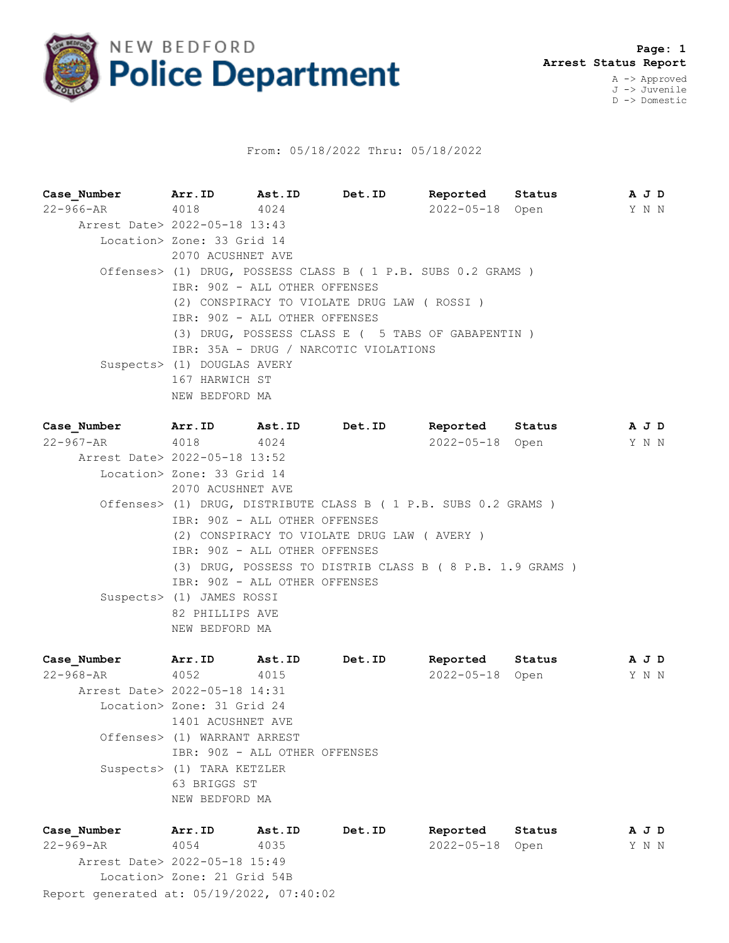

## From: 05/18/2022 Thru: 05/18/2022

**Case\_Number Arr.ID Ast.ID Det.ID Reported Status A J D** 22-966-AR 4018 4024 2022-05-18 Open Y N N Arrest Date> 2022-05-18 13:43 Location> Zone: 33 Grid 14 2070 ACUSHNET AVE Offenses> (1) DRUG, POSSESS CLASS B ( 1 P.B. SUBS 0.2 GRAMS ) IBR: 90Z - ALL OTHER OFFENSES (2) CONSPIRACY TO VIOLATE DRUG LAW ( ROSSI ) IBR: 90Z - ALL OTHER OFFENSES (3) DRUG, POSSESS CLASS E ( 5 TABS OF GABAPENTIN ) IBR: 35A - DRUG / NARCOTIC VIOLATIONS Suspects> (1) DOUGLAS AVERY 167 HARWICH ST NEW BEDFORD MA **Case\_Number Arr.ID Ast.ID Det.ID Reported Status A J D**

22-967-AR 4018 4024 2022-05-18 Open Y N N Arrest Date> 2022-05-18 13:52 Location> Zone: 33 Grid 14 2070 ACUSHNET AVE Offenses> (1) DRUG, DISTRIBUTE CLASS B ( 1 P.B. SUBS 0.2 GRAMS ) IBR: 90Z - ALL OTHER OFFENSES (2) CONSPIRACY TO VIOLATE DRUG LAW ( AVERY ) IBR: 90Z - ALL OTHER OFFENSES (3) DRUG, POSSESS TO DISTRIB CLASS B ( 8 P.B. 1.9 GRAMS ) IBR: 90Z - ALL OTHER OFFENSES Suspects> (1) JAMES ROSSI 82 PHILLIPS AVE NEW BEDFORD MA

**Case\_Number Arr.ID Ast.ID Det.ID Reported Status A J D** 22-968-AR 4052 4015 2022-05-18 Open Y N N Arrest Date> 2022-05-18 14:31 Location> Zone: 31 Grid 24 1401 ACUSHNET AVE Offenses> (1) WARRANT ARREST IBR: 90Z - ALL OTHER OFFENSES Suspects> (1) TARA KETZLER 63 BRIGGS ST NEW BEDFORD MA

Report generated at: 05/19/2022, 07:40:02 **Case\_Number Arr.ID Ast.ID Det.ID Reported Status A J D** 22-969-AR 4054 4035 2022-05-18 Open Y N N Arrest Date> 2022-05-18 15:49 Location> Zone: 21 Grid 54B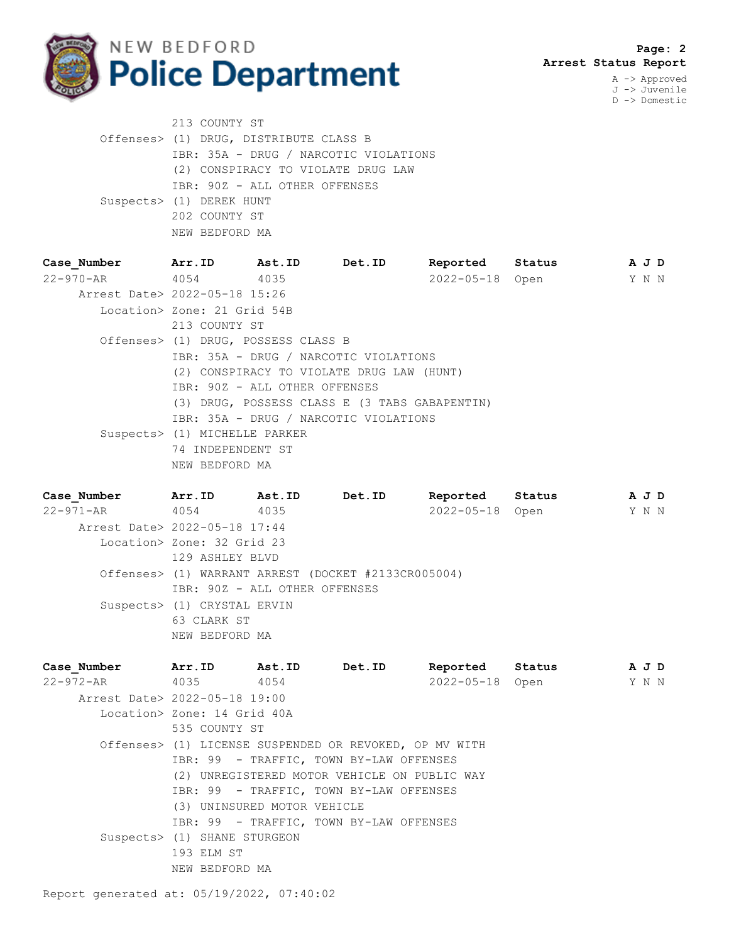

J -> Juvenile D -> Domestic

| 213 COUNTY ST                          |
|----------------------------------------|
| Offenses> (1) DRUG, DISTRIBUTE CLASS B |
| IBR: 35A - DRUG / NARCOTIC VIOLATIONS  |
| (2) CONSPIRACY TO VIOLATE DRUG LAW     |
| IBR: 90Z - ALL OTHER OFFENSES          |
| Suspects> (1) DEREK HUNT               |
| 202 COUNTY ST                          |
| NEW BEDFORD MA                         |

| Case Number                   | Arr.ID                              | Ast.ID | Det.ID                                        | Reported        | Status |       | A J D |
|-------------------------------|-------------------------------------|--------|-----------------------------------------------|-----------------|--------|-------|-------|
| 22-970-AR 4054 4035           |                                     |        |                                               | 2022-05-18 Open |        | Y N N |       |
| Arrest Date> 2022-05-18 15:26 |                                     |        |                                               |                 |        |       |       |
|                               | Location> Zone: 21 Grid 54B         |        |                                               |                 |        |       |       |
|                               | 213 COUNTY ST                       |        |                                               |                 |        |       |       |
|                               | Offenses> (1) DRUG, POSSESS CLASS B |        |                                               |                 |        |       |       |
|                               |                                     |        | IBR: 35A - DRUG / NARCOTIC VIOLATIONS         |                 |        |       |       |
|                               |                                     |        | (2) CONSPIRACY TO VIOLATE DRUG LAW (HUNT)     |                 |        |       |       |
|                               | IBR: 90Z - ALL OTHER OFFENSES       |        |                                               |                 |        |       |       |
|                               |                                     |        | (3) DRUG, POSSESS CLASS E (3 TABS GABAPENTIN) |                 |        |       |       |
|                               |                                     |        | IBR: 35A - DRUG / NARCOTIC VIOLATIONS         |                 |        |       |       |
|                               | Suspects> (1) MICHELLE PARKER       |        |                                               |                 |        |       |       |
|                               | 74 INDEPENDENT ST                   |        |                                               |                 |        |       |       |
|                               | NEW BEDFORD MA                      |        |                                               |                 |        |       |       |

**Case\_Number Arr.ID Ast.ID Det.ID Reported Status A J D** 22-971-AR 4054 4035 2022-05-18 Open Y N N Arrest Date> 2022-05-18 17:44 Location> Zone: 32 Grid 23 129 ASHLEY BLVD Offenses> (1) WARRANT ARREST (DOCKET #2133CR005004) IBR: 90Z - ALL OTHER OFFENSES Suspects> (1) CRYSTAL ERVIN 63 CLARK ST NEW BEDFORD MA

**Case\_Number Arr.ID Ast.ID Det.ID Reported Status A J D** 22-972-AR 4035 4054 2022-05-18 Open Y N N Arrest Date> 2022-05-18 19:00 Location> Zone: 14 Grid 40A 535 COUNTY ST Offenses> (1) LICENSE SUSPENDED OR REVOKED, OP MV WITH IBR: 99 - TRAFFIC, TOWN BY-LAW OFFENSES (2) UNREGISTERED MOTOR VEHICLE ON PUBLIC WAY IBR: 99 - TRAFFIC, TOWN BY-LAW OFFENSES (3) UNINSURED MOTOR VEHICLE IBR: 99 - TRAFFIC, TOWN BY-LAW OFFENSES Suspects> (1) SHANE STURGEON 193 ELM ST NEW BEDFORD MA